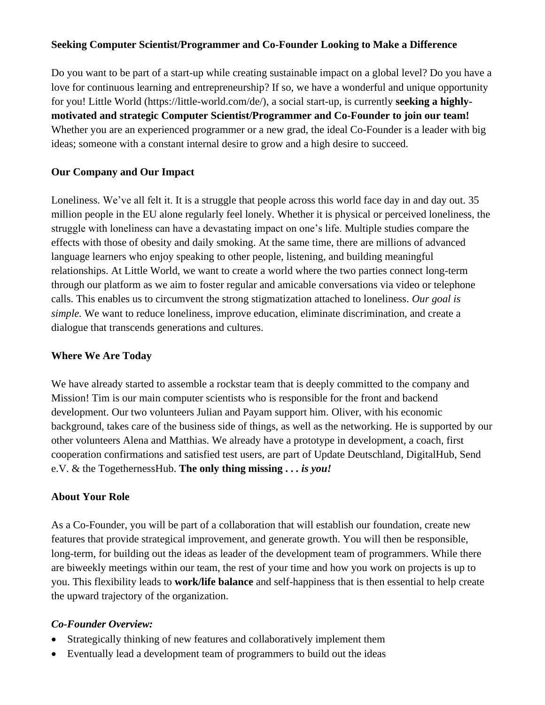## **Seeking Computer Scientist/Programmer and Co-Founder Looking to Make a Difference**

Do you want to be part of a start-up while creating sustainable impact on a global level? Do you have a love for continuous learning and entrepreneurship? If so, we have a wonderful and unique opportunity for you! Little World [\(https://little-world.com/de/\)](https://little-world.com/de/), a social start-up, is currently **seeking a highlymotivated and strategic Computer Scientist/Programmer and Co-Founder to join our team!**  Whether you are an experienced programmer or a new grad, the ideal Co-Founder is a leader with big ideas; someone with a constant internal desire to grow and a high desire to succeed.

## **Our Company and Our Impact**

Loneliness. We've all felt it. It is a struggle that people across this world face day in and day out. 35 million people in the EU alone regularly feel lonely. Whether it is physical or perceived loneliness, the struggle with loneliness can have a devastating impact on one's life. Multiple studies compare the effects with those of obesity and daily smoking. At the same time, there are millions of advanced language learners who enjoy speaking to other people, listening, and building meaningful relationships. At Little World, we want to create a world where the two parties connect long-term through our platform as we aim to foster regular and amicable conversations via video or telephone calls. This enables us to circumvent the strong stigmatization attached to loneliness. *Our goal is simple.* We want to reduce loneliness, improve education, eliminate discrimination, and create a dialogue that transcends generations and cultures.

#### **Where We Are Today**

We have already started to assemble a rockstar team that is deeply committed to the company and Mission! Tim is our main computer scientists who is responsible for the front and backend development. Our two volunteers Julian and Payam support him. Oliver, with his economic background, takes care of the business side of things, as well as the networking. He is supported by our other volunteers Alena and Matthias. We already have a prototype in development, a coach, first cooperation confirmations and satisfied test users, are part of Update Deutschland, DigitalHub, Send e.V. & the TogethernessHub. **The only thing missing . .** *. is you!*

#### **About Your Role**

As a Co-Founder, you will be part of a collaboration that will establish our foundation, create new features that provide strategical improvement, and generate growth. You will then be responsible, long-term, for building out the ideas as leader of the development team of programmers. While there are biweekly meetings within our team, the rest of your time and how you work on projects is up to you. This flexibility leads to **work/life balance** and self-happiness that is then essential to help create the upward trajectory of the organization.

#### *Co-Founder Overview:*

- Strategically thinking of new features and collaboratively implement them
- Eventually lead a development team of programmers to build out the ideas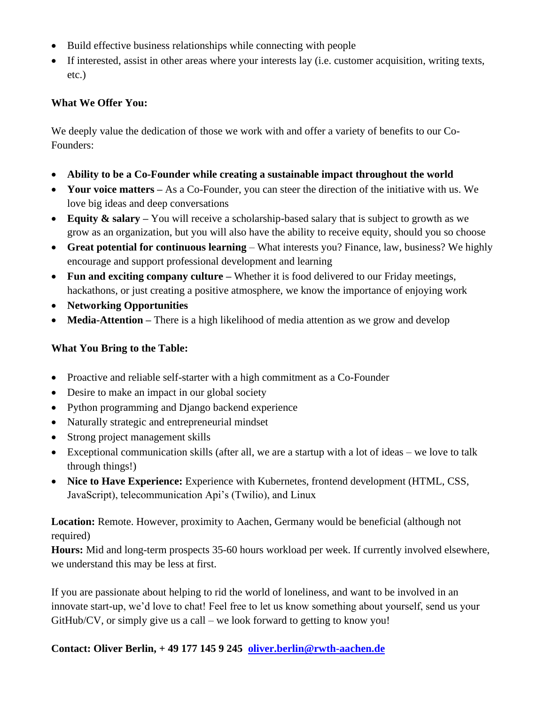- Build effective business relationships while connecting with people
- If interested, assist in other areas where your interests lay (i.e. customer acquisition, writing texts, etc.)

## **What We Offer You:**

We deeply value the dedication of those we work with and offer a variety of benefits to our Co-Founders:

- **Ability to be a Co-Founder while creating a sustainable impact throughout the world**
- Your voice matters As a Co-Founder, you can steer the direction of the initiative with us. We love big ideas and deep conversations
- **Equity & salary** You will receive a scholarship-based salary that is subject to growth as we grow as an organization, but you will also have the ability to receive equity, should you so choose
- **Great potential for continuous learning** What interests you? Finance, law, business? We highly encourage and support professional development and learning
- **Fun and exciting company culture** Whether it is food delivered to our Friday meetings, hackathons, or just creating a positive atmosphere, we know the importance of enjoying work
- **Networking Opportunities**
- **Media-Attention** There is a high likelihood of media attention as we grow and develop

# **What You Bring to the Table:**

- Proactive and reliable self-starter with a high commitment as a Co-Founder
- Desire to make an impact in our global society
- Python programming and Diango backend experience
- Naturally strategic and entrepreneurial mindset
- Strong project management skills
- Exceptional communication skills (after all, we are a startup with a lot of ideas we love to talk through things!)
- **Nice to Have Experience:** Experience with Kubernetes, frontend development (HTML, CSS, JavaScript), telecommunication Api's (Twilio), and Linux

**Location:** Remote. However, proximity to Aachen, Germany would be beneficial (although not required)

**Hours:** Mid and long-term prospects 35-60 hours workload per week. If currently involved elsewhere, we understand this may be less at first.

If you are passionate about helping to rid the world of loneliness, and want to be involved in an innovate start-up, we'd love to chat! Feel free to let us know something about yourself, send us your GitHub/CV, or simply give us a call – we look forward to getting to know you!

**Contact: Oliver Berlin, + 49 177 145 9 245 [oliver.berlin@rwth-aachen.de](mailto:oliver.berlin@rwth-aachen.de)**